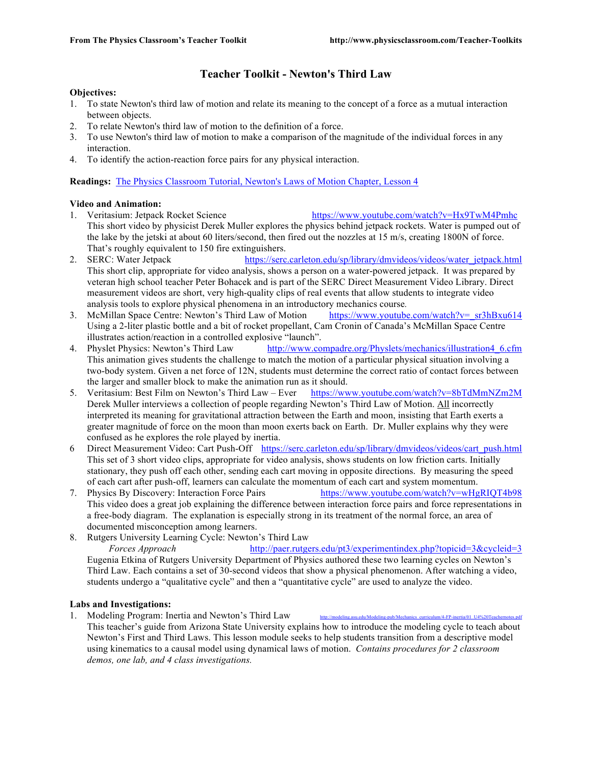# **Teacher Toolkit - Newton's Third Law**

## **Objectives:**

- 1. To state Newton's third law of motion and relate its meaning to the concept of a force as a mutual interaction between objects.
- 2. To relate Newton's third law of motion to the definition of a force.
- 3. To use Newton's third law of motion to make a comparison of the magnitude of the individual forces in any interaction.
- 4. To identify the action-reaction force pairs for any physical interaction.

**Readings:** The Physics Classroom Tutorial, Newton's Laws of Motion Chapter, Lesson 4

## **Video and Animation:**

- 1. Veritasium: Jetpack Rocket Science https://www.youtube.com/watch?v=Hx9TwM4Pmhc This short video by physicist Derek Muller explores the physics behind jetpack rockets. Water is pumped out of the lake by the jetski at about 60 liters/second, then fired out the nozzles at 15 m/s, creating 1800N of force. That's roughly equivalent to 150 fire extinguishers.
- 2. SERC: Water Jetpack https://serc.carleton.edu/sp/library/dmvideos/videos/water\_jetpack.html This short clip, appropriate for video analysis, shows a person on a water-powered jetpack. It was prepared by veteran high school teacher Peter Bohacek and is part of the SERC Direct Measurement Video Library. Direct measurement videos are short, very high-quality clips of real events that allow students to integrate video analysis tools to explore physical phenomena in an introductory mechanics course*.*
- 3. McMillan Space Centre: Newton's Third Law of Motion https://www.youtube.com/watch?v=\_sr3hBxu614 Using a 2-liter plastic bottle and a bit of rocket propellant, Cam Cronin of Canada's McMillan Space Centre illustrates action/reaction in a controlled explosive "launch".
- 4. Physlet Physics: Newton's Third Law http://www.compadre.org/Physlets/mechanics/illustration4\_6.cfm This animation gives students the challenge to match the motion of a particular physical situation involving a two-body system. Given a net force of 12N, students must determine the correct ratio of contact forces between the larger and smaller block to make the animation run as it should.
- 5. Veritasium: Best Film on Newton's Third Law Ever https://www.youtube.com/watch?v=8bTdMmNZm2M Derek Muller interviews a collection of people regarding Newton's Third Law of Motion. All incorrectly interpreted its meaning for gravitational attraction between the Earth and moon, insisting that Earth exerts a greater magnitude of force on the moon than moon exerts back on Earth. Dr. Muller explains why they were confused as he explores the role played by inertia.
- 6 Direct Measurement Video: Cart Push-Off https://serc.carleton.edu/sp/library/dmvideos/videos/cart\_push.html This set of 3 short video clips, appropriate for video analysis, shows students on low friction carts. Initially stationary, they push off each other, sending each cart moving in opposite directions. By measuring the speed of each cart after push-off, learners can calculate the momentum of each cart and system momentum.
- 7. Physics By Discovery: Interaction Force Pairs https://www.youtube.com/watch?v=wHgRIQT4b98 This video does a great job explaining the difference between interaction force pairs and force representations in a free-body diagram. The explanation is especially strong in its treatment of the normal force, an area of documented misconception among learners.
- 8. Rutgers University Learning Cycle: Newton's Third Law *Forces Approach* http://paer.rutgers.edu/pt3/experimentindex.php?topicid=3&cycleid=3 Eugenia Etkina of Rutgers University Department of Physics authored these two learning cycles on Newton's Third Law. Each contains a set of 30-second videos that show a physical phenomenon. After watching a video, students undergo a "qualitative cycle" and then a "quantitative cycle" are used to analyze the video.

#### **Labs and Investigations:**

1. Modeling Program: Inertia and Newton's Third Law This teacher's guide from Arizona State University explains how to introduce the modeling cycle to teach about Newton's First and Third Laws. This lesson module seeks to help students transition from a descriptive model using kinematics to a causal model using dynamical laws of motion. *Contains procedures for 2 classroom demos, one lab, and 4 class investigations.*